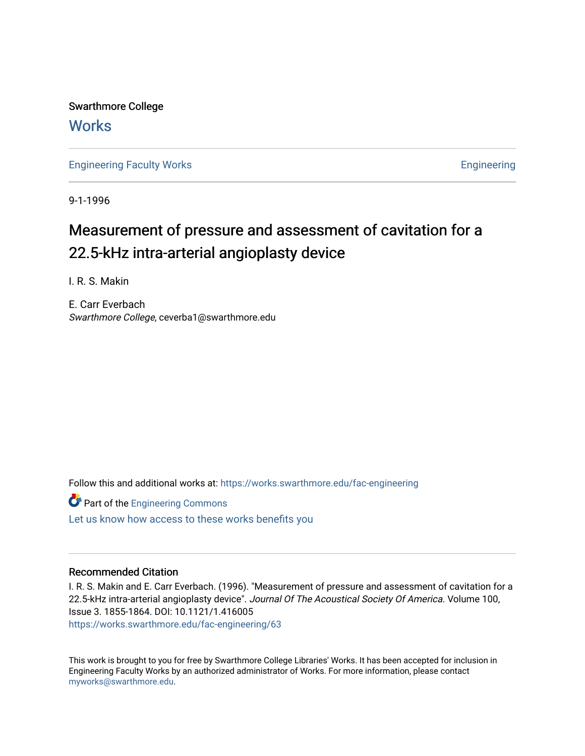Swarthmore College **Works** 

[Engineering Faculty Works](https://works.swarthmore.edu/fac-engineering) **Engineering** 

9-1-1996

# Measurement of pressure and assessment of cavitation for a 22.5-kHz intra-arterial angioplasty device

I. R. S. Makin

E. Carr Everbach Swarthmore College, ceverba1@swarthmore.edu

Follow this and additional works at: [https://works.swarthmore.edu/fac-engineering](https://works.swarthmore.edu/fac-engineering?utm_source=works.swarthmore.edu%2Ffac-engineering%2F63&utm_medium=PDF&utm_campaign=PDFCoverPages)

**Part of the [Engineering Commons](http://network.bepress.com/hgg/discipline/217?utm_source=works.swarthmore.edu%2Ffac-engineering%2F63&utm_medium=PDF&utm_campaign=PDFCoverPages)** 

[Let us know how access to these works benefits you](https://forms.gle/4MB8mE2GywC5965J8) 

### Recommended Citation

I. R. S. Makin and E. Carr Everbach. (1996). "Measurement of pressure and assessment of cavitation for a 22.5-kHz intra-arterial angioplasty device". Journal Of The Acoustical Society Of America. Volume 100, Issue 3. 1855-1864. DOI: 10.1121/1.416005 <https://works.swarthmore.edu/fac-engineering/63>

This work is brought to you for free by Swarthmore College Libraries' Works. It has been accepted for inclusion in Engineering Faculty Works by an authorized administrator of Works. For more information, please contact [myworks@swarthmore.edu.](mailto:myworks@swarthmore.edu)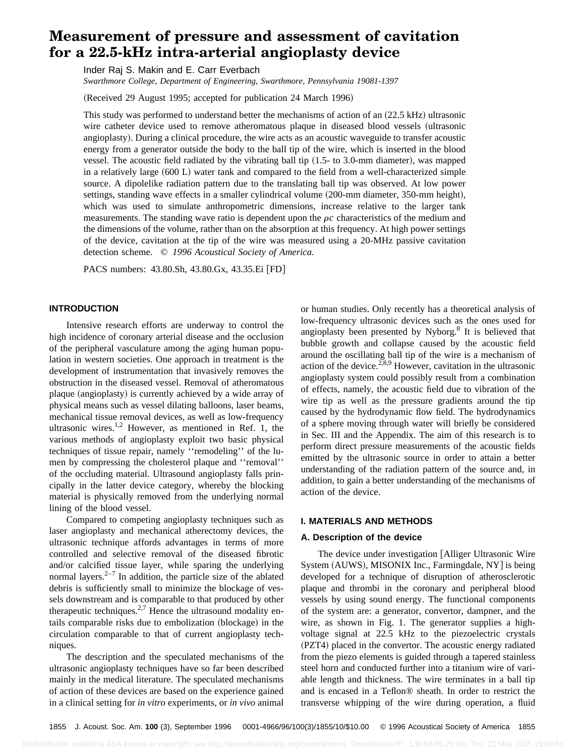## **Measurement of pressure and assessment of cavitation for a 22.5-kHz intra-arterial angioplasty device**

Inder Raj S. Makin and E. Carr Everbach

*Swarthmore College, Department of Engineering, Swarthmore, Pennsylvania 19081-1397*

(Received 29 August 1995; accepted for publication 24 March 1996)

This study was performed to understand better the mechanisms of action of an  $(22.5 \text{ kHz})$  ultrasonic wire catheter device used to remove atheromatous plaque in diseased blood vessels (ultrasonic angioplasty). During a clinical procedure, the wire acts as an acoustic waveguide to transfer acoustic energy from a generator outside the body to the ball tip of the wire, which is inserted in the blood vessel. The acoustic field radiated by the vibrating ball tip  $(1.5-$  to 3.0-mm diameter), was mapped in a relatively large (600 L) water tank and compared to the field from a well-characterized simple source. A dipolelike radiation pattern due to the translating ball tip was observed. At low power settings, standing wave effects in a smaller cylindrical volume (200-mm diameter, 350-mm height), which was used to simulate anthropometric dimensions, increase relative to the larger tank measurements. The standing wave ratio is dependent upon the  $\rho c$  characteristics of the medium and the dimensions of the volume, rather than on the absorption at this frequency. At high power settings of the device, cavitation at the tip of the wire was measured using a 20-MHz passive cavitation detection scheme. © *1996 Acoustical Society of America.*

PACS numbers: 43.80.Sh, 43.80.Gx, 43.35.Ei [FD]

#### **INTRODUCTION**

Intensive research efforts are underway to control the high incidence of coronary arterial disease and the occlusion of the peripheral vasculature among the aging human population in western societies. One approach in treatment is the development of instrumentation that invasively removes the obstruction in the diseased vessel. Removal of atheromatous plaque (angioplasty) is currently achieved by a wide array of physical means such as vessel dilating balloons, laser beams, mechanical tissue removal devices, as well as low-frequency ultrasonic wires. $1,2$  However, as mentioned in Ref. 1, the various methods of angioplasty exploit two basic physical techniques of tissue repair, namely ''remodeling'' of the lumen by compressing the cholesterol plaque and ''removal'' of the occluding material. Ultrasound angioplasty falls principally in the latter device category, whereby the blocking material is physically removed from the underlying normal lining of the blood vessel.

Compared to competing angioplasty techniques such as laser angioplasty and mechanical atherectomy devices, the ultrasonic technique affords advantages in terms of more controlled and selective removal of the diseased fibrotic and/or calcified tissue layer, while sparing the underlying normal layers. $2^{-7}$  In addition, the particle size of the ablated debris is sufficiently small to minimize the blockage of vessels downstream and is comparable to that produced by other therapeutic techniques.<sup>2,7</sup> Hence the ultrasound modality entails comparable risks due to embolization (blockage) in the circulation comparable to that of current angioplasty techniques.

The description and the speculated mechanisms of the ultrasonic angioplasty techniques have so far been described mainly in the medical literature. The speculated mechanisms of action of these devices are based on the experience gained in a clinical setting for *in vitro* experiments, or *in vivo* animal or human studies. Only recently has a theoretical analysis of low-frequency ultrasonic devices such as the ones used for angioplasty been presented by Nyborg.<sup>8</sup> It is believed that bubble growth and collapse caused by the acoustic field around the oscillating ball tip of the wire is a mechanism of action of the device.<sup>2,8,9</sup> However, cavitation in the ultrasonic angioplasty system could possibly result from a combination of effects, namely, the acoustic field due to vibration of the wire tip as well as the pressure gradients around the tip caused by the hydrodynamic flow field. The hydrodynamics of a sphere moving through water will briefly be considered in Sec. III and the Appendix. The aim of this research is to perform direct pressure measurements of the acoustic fields emitted by the ultrasonic source in order to attain a better understanding of the radiation pattern of the source and, in addition, to gain a better understanding of the mechanisms of action of the device.

#### **I. MATERIALS AND METHODS**

#### **A. Description of the device**

The device under investigation [Alliger Ultrasonic Wire System (AUWS), MISONIX Inc., Farmingdale, NY] is being developed for a technique of disruption of atherosclerotic plaque and thrombi in the coronary and peripheral blood vessels by using sound energy. The functional components of the system are: a generator, convertor, dampner, and the wire, as shown in Fig. 1. The generator supplies a highvoltage signal at 22.5 kHz to the piezoelectric crystals (PZT4) placed in the convertor. The acoustic energy radiated from the piezo elements is guided through a tapered stainless steel horn and conducted further into a titanium wire of variable length and thickness. The wire terminates in a ball tip and is encased in a Teflon® sheath. In order to restrict the transverse whipping of the wire during operation, a fluid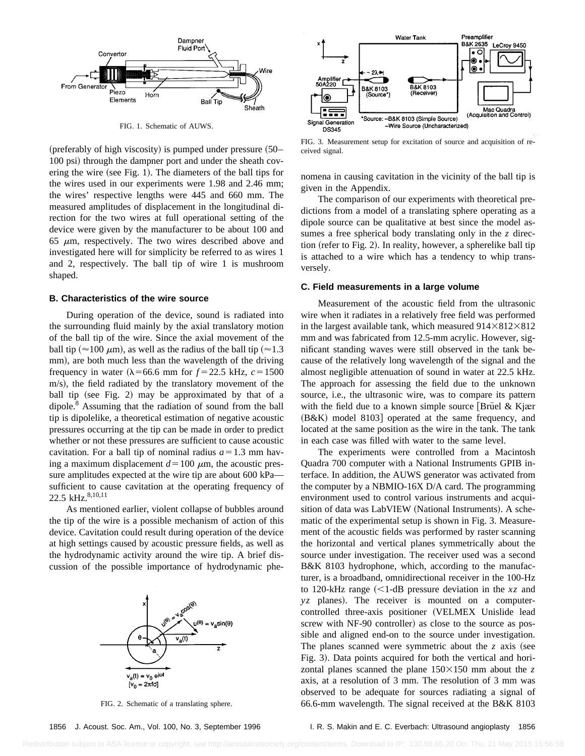

FIG. 1. Schematic of AUWS.

(preferably of high viscosity) is pumped under pressure  $(50-$ 100 psi) through the dampner port and under the sheath covering the wire (see Fig. 1). The diameters of the ball tips for the wires used in our experiments were 1.98 and 2.46 mm; the wires' respective lengths were 445 and 660 mm. The measured amplitudes of displacement in the longitudinal direction for the two wires at full operational setting of the device were given by the manufacturer to be about 100 and 65  $\mu$ m, respectively. The two wires described above and investigated here will for simplicity be referred to as wires 1 and 2, respectively. The ball tip of wire 1 is mushroom shaped.

#### **B. Characteristics of the wire source**

During operation of the device, sound is radiated into the surrounding fluid mainly by the axial translatory motion of the ball tip of the wire. Since the axial movement of the ball tip ( $\approx$ 100  $\mu$ m), as well as the radius of the ball tip ( $\approx$ 1.3 mm), are both much less than the wavelength of the driving frequency in water  $(\lambda = 66.6$  mm for  $f = 22.5$  kHz,  $c = 1500$ m/s), the field radiated by the translatory movement of the ball tip (see Fig. 2) may be approximated by that of a dipole.<sup>8</sup> Assuming that the radiation of sound from the ball tip is dipolelike, a theoretical estimation of negative acoustic pressures occurring at the tip can be made in order to predict whether or not these pressures are sufficient to cause acoustic cavitation. For a ball tip of nominal radius  $a=1.3$  mm having a maximum displacement  $d=100 \mu$ m, the acoustic pressure amplitudes expected at the wire tip are about 600 kPa sufficient to cause cavitation at the operating frequency of 22.5 kHz.<sup>8,10,11</sup>

As mentioned earlier, violent collapse of bubbles around the tip of the wire is a possible mechanism of action of this device. Cavitation could result during operation of the device at high settings caused by acoustic pressure fields, as well as the hydrodynamic activity around the wire tip. A brief discussion of the possible importance of hydrodynamic phe-



FIG. 2. Schematic of a translating sphere.





FIG. 3. Measurement setup for excitation of source and acquisition of received signal.

nomena in causing cavitation in the vicinity of the ball tip is given in the Appendix.

The comparison of our experiments with theoretical predictions from a model of a translating sphere operating as a dipole source can be qualitative at best since the model assumes a free spherical body translating only in the *z* direction (refer to Fig. 2). In reality, however, a spherelike ball tip is attached to a wire which has a tendency to whip transversely.

#### **C. Field measurements in a large volume**

Measurement of the acoustic field from the ultrasonic wire when it radiates in a relatively free field was performed in the largest available tank, which measured  $914\times812\times812$ mm and was fabricated from 12.5-mm acrylic. However, significant standing waves were still observed in the tank because of the relatively long wavelength of the signal and the almost negligible attenuation of sound in water at 22.5 kHz. The approach for assessing the field due to the unknown source, i.e., the ultrasonic wire, was to compare its pattern with the field due to a known simple source [Brüel & Kjær  $(B&K)$  model 8103 operated at the same frequency, and located at the same position as the wire in the tank. The tank in each case was filled with water to the same level.

The experiments were controlled from a Macintosh Quadra 700 computer with a National Instruments GPIB interface. In addition, the AUWS generator was activated from the computer by a NBMIO-16X D/A card. The programming environment used to control various instruments and acquisition of data was LabVIEW (National Instruments). A schematic of the experimental setup is shown in Fig. 3. Measurement of the acoustic fields was performed by raster scanning the horizontal and vertical planes symmetrically about the source under investigation. The receiver used was a second B&K 8103 hydrophone, which, according to the manufacturer, is a broadband, omnidirectional receiver in the 100-Hz to 120-kHz range  $\leq 1$ -dB pressure deviation in the *xz* and  $yz$  planes). The receiver is mounted on a computercontrolled three-axis positioner (VELMEX Unislide lead screw with NF-90 controller) as close to the source as possible and aligned end-on to the source under investigation. The planes scanned were symmetric about the  $z$  axis (see Fig. 3). Data points acquired for both the vertical and horizontal planes scanned the plane  $150\times150$  mm about the *z* axis, at a resolution of 3 mm. The resolution of 3 mm was observed to be adequate for sources radiating a signal of 66.6-mm wavelength. The signal received at the B&K 8103

#### 1856 J. Acoust. Soc. Am., Vol. 100, No. 3, September 1996 I. R. S. Makin and E. C. Everbach: Ultrasound angioplasty 1856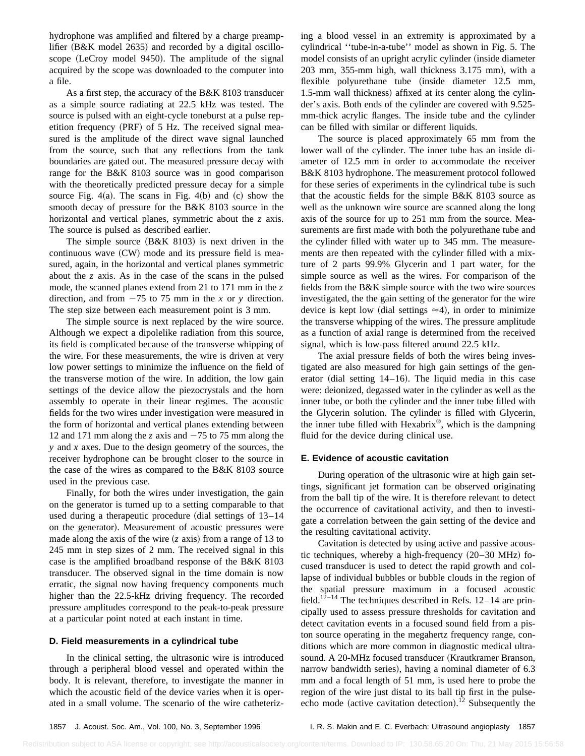hydrophone was amplified and filtered by a charge preamplifier  $(B&K$  model 2635) and recorded by a digital oscilloscope (LeCroy model 9450). The amplitude of the signal acquired by the scope was downloaded to the computer into a file.

As a first step, the accuracy of the B&K 8103 transducer as a simple source radiating at 22.5 kHz was tested. The source is pulsed with an eight-cycle toneburst at a pulse repetition frequency  $(PRF)$  of 5 Hz. The received signal measured is the amplitude of the direct wave signal launched from the source, such that any reflections from the tank boundaries are gated out. The measured pressure decay with range for the B&K 8103 source was in good comparison with the theoretically predicted pressure decay for a simple source Fig. 4(a). The scans in Fig. 4(b) and  $(c)$  show the smooth decay of pressure for the B&K 8103 source in the horizontal and vertical planes, symmetric about the *z* axis. The source is pulsed as described earlier.

The simple source  $(B&K 8103)$  is next driven in the continuous wave  $(CW)$  mode and its pressure field is measured, again, in the horizontal and vertical planes symmetric about the *z* axis. As in the case of the scans in the pulsed mode, the scanned planes extend from 21 to 171 mm in the *z* direction, and from  $-75$  to 75 mm in the *x* or *y* direction. The step size between each measurement point is 3 mm.

The simple source is next replaced by the wire source. Although we expect a dipolelike radiation from this source, its field is complicated because of the transverse whipping of the wire. For these measurements, the wire is driven at very low power settings to minimize the influence on the field of the transverse motion of the wire. In addition, the low gain settings of the device allow the piezocrystals and the horn assembly to operate in their linear regimes. The acoustic fields for the two wires under investigation were measured in the form of horizontal and vertical planes extending between 12 and 171 mm along the *z* axis and  $-75$  to 75 mm along the *y* and *x* axes. Due to the design geometry of the sources, the receiver hydrophone can be brought closer to the source in the case of the wires as compared to the B&K 8103 source used in the previous case.

Finally, for both the wires under investigation, the gain on the generator is turned up to a setting comparable to that used during a therapeutic procedure (dial settings of  $13-14$ ) on the generator). Measurement of acoustic pressures were made along the axis of the wire  $(z$  axis) from a range of 13 to 245 mm in step sizes of 2 mm. The received signal in this case is the amplified broadband response of the B&K 8103 transducer. The observed signal in the time domain is now erratic, the signal now having frequency components much higher than the 22.5-kHz driving frequency. The recorded pressure amplitudes correspond to the peak-to-peak pressure at a particular point noted at each instant in time.

#### **D. Field measurements in a cylindrical tube**

In the clinical setting, the ultrasonic wire is introduced through a peripheral blood vessel and operated within the body. It is relevant, therefore, to investigate the manner in which the acoustic field of the device varies when it is operated in a small volume. The scenario of the wire catheterizing a blood vessel in an extremity is approximated by a cylindrical ''tube-in-a-tube'' model as shown in Fig. 5. The model consists of an upright acrylic cylinder (inside diameter  $203$  mm,  $355$ -mm high, wall thickness  $3.175$  mm), with a flexible polyurethane tube (inside diameter 12.5 mm, 1.5-mm wall thickness) affixed at its center along the cylinder's axis. Both ends of the cylinder are covered with 9.525 mm-thick acrylic flanges. The inside tube and the cylinder can be filled with similar or different liquids.

The source is placed approximately 65 mm from the lower wall of the cylinder. The inner tube has an inside diameter of 12.5 mm in order to accommodate the receiver B&K 8103 hydrophone. The measurement protocol followed for these series of experiments in the cylindrical tube is such that the acoustic fields for the simple B&K 8103 source as well as the unknown wire source are scanned along the long axis of the source for up to 251 mm from the source. Measurements are first made with both the polyurethane tube and the cylinder filled with water up to 345 mm. The measurements are then repeated with the cylinder filled with a mixture of 2 parts 99.9% Glycerin and 1 part water, for the simple source as well as the wires. For comparison of the fields from the B&K simple source with the two wire sources investigated, the the gain setting of the generator for the wire device is kept low (dial settings  $\approx$  4), in order to minimize the transverse whipping of the wires. The pressure amplitude as a function of axial range is determined from the received signal, which is low-pass filtered around 22.5 kHz.

The axial pressure fields of both the wires being investigated are also measured for high gain settings of the generator (dial setting  $14-16$ ). The liquid media in this case were: deionized, degassed water in the cylinder as well as the inner tube, or both the cylinder and the inner tube filled with the Glycerin solution. The cylinder is filled with Glycerin, the inner tube filled with Hexabrix®, which is the dampning fluid for the device during clinical use.

#### **E. Evidence of acoustic cavitation**

During operation of the ultrasonic wire at high gain settings, significant jet formation can be observed originating from the ball tip of the wire. It is therefore relevant to detect the occurrence of cavitational activity, and then to investigate a correlation between the gain setting of the device and the resulting cavitational activity.

Cavitation is detected by using active and passive acoustic techniques, whereby a high-frequency  $(20-30 \text{ MHz})$  focused transducer is used to detect the rapid growth and collapse of individual bubbles or bubble clouds in the region of the spatial pressure maximum in a focused acoustic field.<sup>12–14</sup> The techniques described in Refs. 12–14 are principally used to assess pressure thresholds for cavitation and detect cavitation events in a focused sound field from a piston source operating in the megahertz frequency range, conditions which are more common in diagnostic medical ultrasound. A 20-MHz focused transducer (Krautkramer Branson, narrow bandwidth series), having a nominal diameter of 6.3 mm and a focal length of 51 mm, is used here to probe the region of the wire just distal to its ball tip first in the pulseecho mode (active cavitation detection).<sup>12</sup> Subsequently the

<sup>1857</sup> J. Acoust. Soc. Am., Vol. 100, No. 3, September 1996 I. R. S. Makin and E. C. Everbach: Ultrasound angioplasty 1857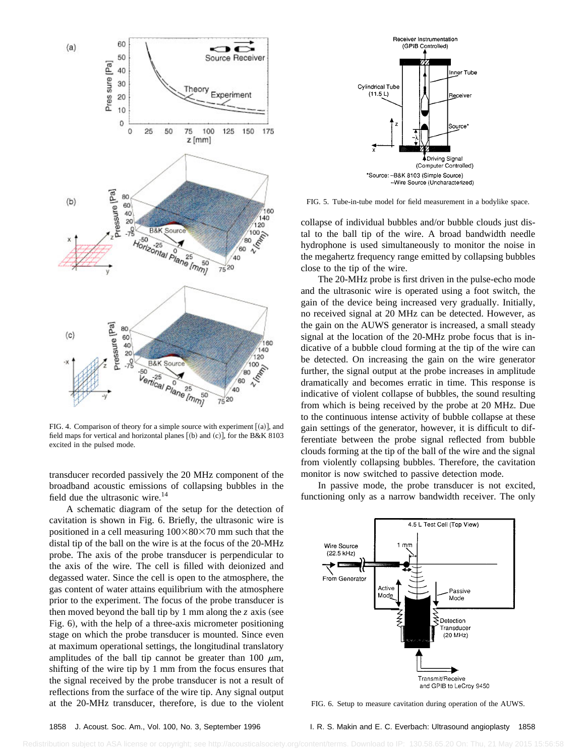

FIG. 4. Comparison of theory for a simple source with experiment  $[(a)]$ , and field maps for vertical and horizontal planes  $[(b)$  and  $(c)]$ , for the B&K 8103 excited in the pulsed mode.

transducer recorded passively the 20 MHz component of the broadband acoustic emissions of collapsing bubbles in the field due the ultrasonic wire.<sup>14</sup>

A schematic diagram of the setup for the detection of cavitation is shown in Fig. 6. Briefly, the ultrasonic wire is positioned in a cell measuring  $100\times80\times70$  mm such that the distal tip of the ball on the wire is at the focus of the 20-MHz probe. The axis of the probe transducer is perpendicular to the axis of the wire. The cell is filled with deionized and degassed water. Since the cell is open to the atmosphere, the gas content of water attains equilibrium with the atmosphere prior to the experiment. The focus of the probe transducer is then moved beyond the ball tip by 1 mm along the  $\zeta$  axis (see Fig. 6), with the help of a three-axis micrometer positioning stage on which the probe transducer is mounted. Since even at maximum operational settings, the longitudinal translatory amplitudes of the ball tip cannot be greater than 100  $\mu$ m, shifting of the wire tip by 1 mm from the focus ensures that the signal received by the probe transducer is not a result of reflections from the surface of the wire tip. Any signal output at the 20-MHz transducer, therefore, is due to the violent



FIG. 5. Tube-in-tube model for field measurement in a bodylike space.

collapse of individual bubbles and/or bubble clouds just distal to the ball tip of the wire. A broad bandwidth needle hydrophone is used simultaneously to monitor the noise in the megahertz frequency range emitted by collapsing bubbles close to the tip of the wire.

The 20-MHz probe is first driven in the pulse-echo mode and the ultrasonic wire is operated using a foot switch, the gain of the device being increased very gradually. Initially, no received signal at 20 MHz can be detected. However, as the gain on the AUWS generator is increased, a small steady signal at the location of the 20-MHz probe focus that is indicative of a bubble cloud forming at the tip of the wire can be detected. On increasing the gain on the wire generator further, the signal output at the probe increases in amplitude dramatically and becomes erratic in time. This response is indicative of violent collapse of bubbles, the sound resulting from which is being received by the probe at 20 MHz. Due to the continuous intense activity of bubble collapse at these gain settings of the generator, however, it is difficult to differentiate between the probe signal reflected from bubble clouds forming at the tip of the ball of the wire and the signal from violently collapsing bubbles. Therefore, the cavitation monitor is now switched to passive detection mode.

In passive mode, the probe transducer is not excited, functioning only as a narrow bandwidth receiver. The only



FIG. 6. Setup to measure cavitation during operation of the AUWS.

<sup>1858</sup> J. Acoust. Soc. Am., Vol. 100, No. 3, September 1996 I. R. S. Makin and E. C. Everbach: Ultrasound angioplasty 1858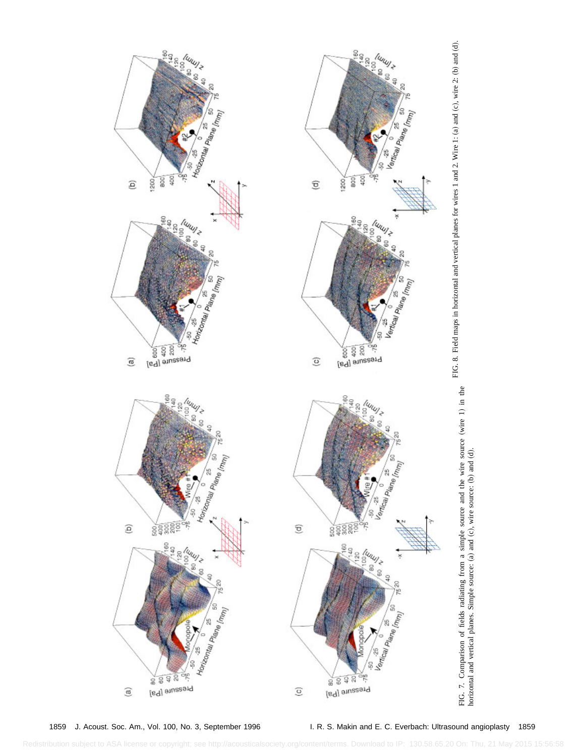

1859 J. Acoust. Soc. Am., Vol. 100, No. 3, September 1996 I. R. S. Makin and E. C. Everbach: Ultrasound angioplasty 1859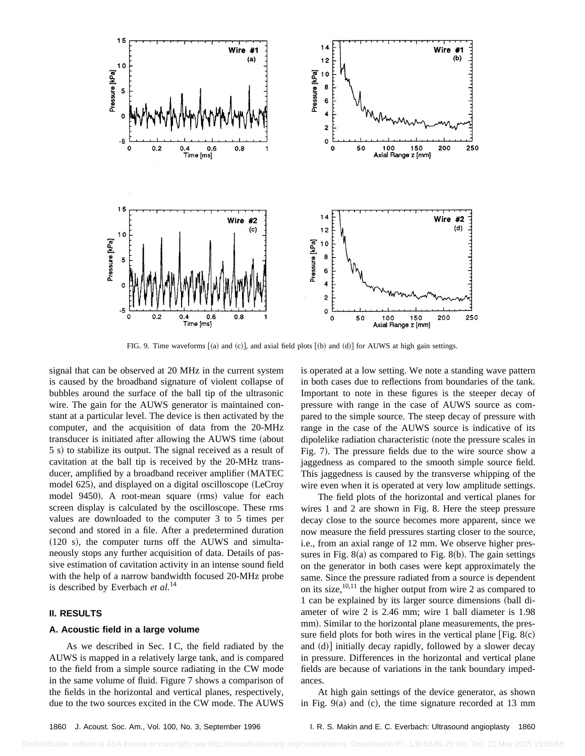

FIG. 9. Time waveforms  $[(a)$  and  $(c)]$ , and axial field plots  $[(b)$  and  $(d)]$  for AUWS at high gain settings.

signal that can be observed at 20 MHz in the current system is caused by the broadband signature of violent collapse of bubbles around the surface of the ball tip of the ultrasonic wire. The gain for the AUWS generator is maintained constant at a particular level. The device is then activated by the computer, and the acquisition of data from the 20-MHz transducer is initiated after allowing the AUWS time (about 5 s) to stabilize its output. The signal received as a result of cavitation at the ball tip is received by the 20-MHz transducer, amplified by a broadband receiver amplifier (MATEC model 625), and displayed on a digital oscilloscope (LeCroy model 9450). A root-mean square (rms) value for each screen display is calculated by the oscilloscope. These rms values are downloaded to the computer 3 to 5 times per second and stored in a file. After a predetermined duration  $(120 \text{ s})$ , the computer turns off the AUWS and simultaneously stops any further acquisition of data. Details of passive estimation of cavitation activity in an intense sound field with the help of a narrow bandwidth focused 20-MHz probe is described by Everbach *et al.*<sup>14</sup>

#### **II. RESULTS**

#### **A. Acoustic field in a large volume**

As we described in Sec. I C, the field radiated by the AUWS is mapped in a relatively large tank, and is compared to the field from a simple source radiating in the CW mode in the same volume of fluid. Figure 7 shows a comparison of the fields in the horizontal and vertical planes, respectively, due to the two sources excited in the CW mode. The AUWS is operated at a low setting. We note a standing wave pattern in both cases due to reflections from boundaries of the tank. Important to note in these figures is the steeper decay of pressure with range in the case of AUWS source as compared to the simple source. The steep decay of pressure with range in the case of the AUWS source is indicative of its dipolelike radiation characteristic (note the pressure scales in Fig. 7). The pressure fields due to the wire source show a jaggedness as compared to the smooth simple source field. This jaggedness is caused by the transverse whipping of the wire even when it is operated at very low amplitude settings.

The field plots of the horizontal and vertical planes for wires 1 and 2 are shown in Fig. 8. Here the steep pressure decay close to the source becomes more apparent, since we now measure the field pressures starting closer to the source, i.e., from an axial range of 12 mm. We observe higher pressures in Fig.  $8(a)$  as compared to Fig.  $8(b)$ . The gain settings on the generator in both cases were kept approximately the same. Since the pressure radiated from a source is dependent on its size,  $10,11$  the higher output from wire 2 as compared to 1 can be explained by its larger source dimensions (ball diameter of wire 2 is 2.46 mm; wire 1 ball diameter is 1.98 mm). Similar to the horizontal plane measurements, the pressure field plots for both wires in the vertical plane  $[Fig. 8(c)]$ and  $(d)$ ] initially decay rapidly, followed by a slower decay in pressure. Differences in the horizontal and vertical plane fields are because of variations in the tank boundary impedances.

At high gain settings of the device generator, as shown in Fig.  $9(a)$  and (c), the time signature recorded at 13 mm

1860 J. Acoust. Soc. Am., Vol. 100, No. 3, September 1996 I. R. S. Makin and E. C. Everbach: Ultrasound angioplasty 1860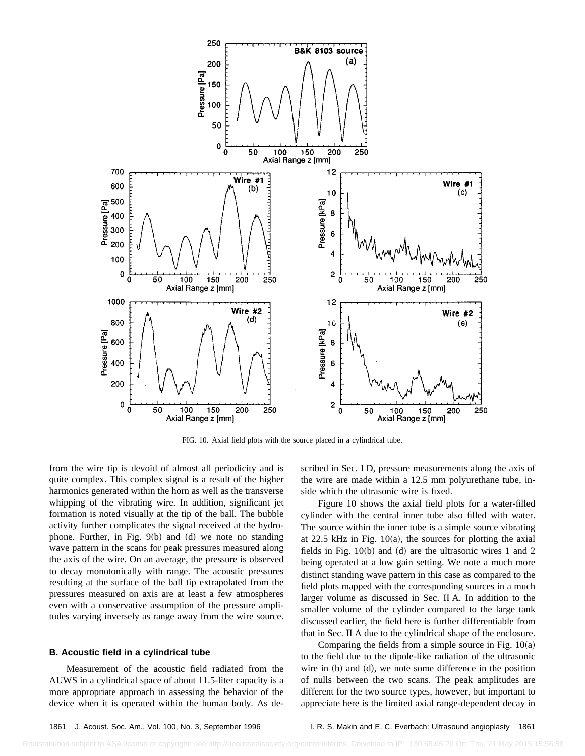

FIG. 10. Axial field plots with the source placed in a cylindrical tube.

from the wire tip is devoid of almost all periodicity and is quite complex. This complex signal is a result of the higher harmonics generated within the horn as well as the transverse whipping of the vibrating wire. In addition, significant jet formation is noted visually at the tip of the ball. The bubble activity further complicates the signal received at the hydrophone. Further, in Fig.  $9(b)$  and  $(d)$  we note no standing wave pattern in the scans for peak pressures measured along the axis of the wire. On an average, the pressure is observed to decay monotonically with range. The acoustic pressures resulting at the surface of the ball tip extrapolated from the pressures measured on axis are at least a few atmospheres even with a conservative assumption of the pressure amplitudes varying inversely as range away from the wire source.

#### **B. Acoustic field in a cylindrical tube**

Measurement of the acoustic field radiated from the AUWS in a cylindrical space of about 11.5-liter capacity is a more appropriate approach in assessing the behavior of the device when it is operated within the human body. As described in Sec. I D, pressure measurements along the axis of the wire are made within a 12.5 mm polyurethane tube, inside which the ultrasonic wire is fixed.

Figure 10 shows the axial field plots for a water-filled cylinder with the central inner tube also filled with water. The source within the inner tube is a simple source vibrating at 22.5 kHz in Fig.  $10(a)$ , the sources for plotting the axial fields in Fig.  $10(b)$  and (d) are the ultrasonic wires 1 and 2 being operated at a low gain setting. We note a much more distinct standing wave pattern in this case as compared to the field plots mapped with the corresponding sources in a much larger volume as discussed in Sec. II A. In addition to the smaller volume of the cylinder compared to the large tank discussed earlier, the field here is further differentiable from that in Sec. II A due to the cylindrical shape of the enclosure.

Comparing the fields from a simple source in Fig.  $10(a)$ to the field due to the dipole-like radiation of the ultrasonic wire in  $(b)$  and  $(d)$ , we note some difference in the position of nulls between the two scans. The peak amplitudes are different for the two source types, however, but important to appreciate here is the limited axial range-dependent decay in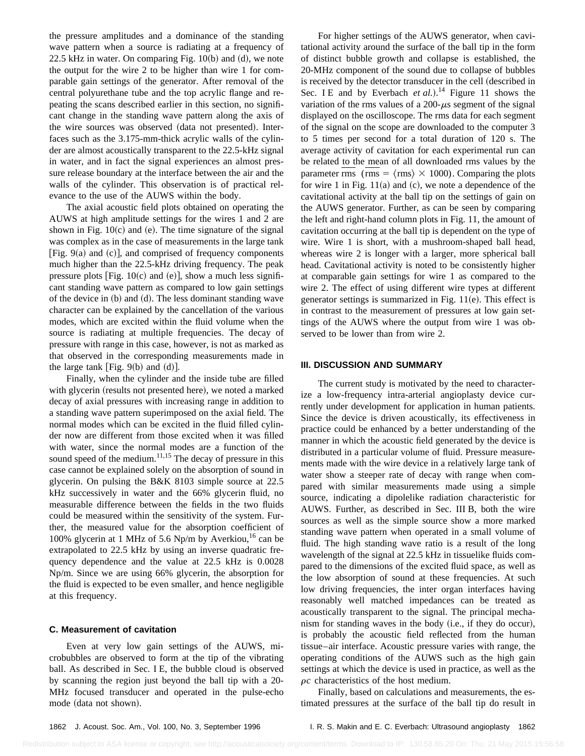the pressure amplitudes and a dominance of the standing wave pattern when a source is radiating at a frequency of 22.5 kHz in water. On comparing Fig.  $10(b)$  and  $(d)$ , we note the output for the wire 2 to be higher than wire 1 for comparable gain settings of the generator. After removal of the central polyurethane tube and the top acrylic flange and repeating the scans described earlier in this section, no significant change in the standing wave pattern along the axis of the wire sources was observed (data not presented). Interfaces such as the 3.175-mm-thick acrylic walls of the cylinder are almost acoustically transparent to the 22.5-kHz signal in water, and in fact the signal experiences an almost pressure release boundary at the interface between the air and the walls of the cylinder. This observation is of practical relevance to the use of the AUWS within the body.

The axial acoustic field plots obtained on operating the AUWS at high amplitude settings for the wires 1 and 2 are shown in Fig.  $10(c)$  and (e). The time signature of the signal was complex as in the case of measurements in the large tank  $[Fig. 9(a) and (c)],$  and comprised of frequency components much higher than the 22.5-kHz driving frequency. The peak pressure plots [Fig. 10(c) and (e)], show a much less significant standing wave pattern as compared to low gain settings of the device in  $(b)$  and  $(d)$ . The less dominant standing wave character can be explained by the cancellation of the various modes, which are excited within the fluid volume when the source is radiating at multiple frequencies. The decay of pressure with range in this case, however, is not as marked as that observed in the corresponding measurements made in the large tank [Fig.  $9(b)$  and  $(d)$ ].

Finally, when the cylinder and the inside tube are filled with glycerin (results not presented here), we noted a marked decay of axial pressures with increasing range in addition to a standing wave pattern superimposed on the axial field. The normal modes which can be excited in the fluid filled cylinder now are different from those excited when it was filled with water, since the normal modes are a function of the sound speed of the medium.<sup>11,15</sup> The decay of pressure in this case cannot be explained solely on the absorption of sound in glycerin. On pulsing the B&K 8103 simple source at 22.5 kHz successively in water and the 66% glycerin fluid, no measurable difference between the fields in the two fluids could be measured within the sensitivity of the system. Further, the measured value for the absorption coefficient of 100% glycerin at 1 MHz of 5.6 Np/m by Averkiou,<sup>16</sup> can be extrapolated to 22.5 kHz by using an inverse quadratic frequency dependence and the value at 22.5 kHz is 0.0028 Np/m. Since we are using 66% glycerin, the absorption for the fluid is expected to be even smaller, and hence negligible at this frequency.

#### **C. Measurement of cavitation**

Even at very low gain settings of the AUWS, microbubbles are observed to form at the tip of the vibrating ball. As described in Sec. I E, the bubble cloud is observed by scanning the region just beyond the ball tip with a 20- MHz focused transducer and operated in the pulse-echo mode (data not shown).

For higher settings of the AUWS generator, when cavitational activity around the surface of the ball tip in the form of distinct bubble growth and collapse is established, the 20-MHz component of the sound due to collapse of bubbles is received by the detector transducer in the cell (described in Sec. I E and by Everbach *et al.*).<sup>14</sup> Figure 11 shows the variation of the rms values of a  $200 - \mu s$  segment of the signal displayed on the oscilloscope. The rms data for each segment of the signal on the scope are downloaded to the computer 3 to 5 times per second for a total duration of 120 s. The average activity of cavitation for each experimental run can be related to the mean of all downloaded rms values by the parameter rms (rms =  $\langle \text{rms} \rangle \times 1000$ ). Comparing the plots for wire 1 in Fig.  $11(a)$  and (c), we note a dependence of the cavitational activity at the ball tip on the settings of gain on the AUWS generator. Further, as can be seen by comparing the left and right-hand column plots in Fig. 11, the amount of cavitation occurring at the ball tip is dependent on the type of wire. Wire 1 is short, with a mushroom-shaped ball head, whereas wire 2 is longer with a larger, more spherical ball head. Cavitational activity is noted to be consistently higher at comparable gain settings for wire 1 as compared to the wire 2. The effect of using different wire types at different generator settings is summarized in Fig.  $11(e)$ . This effect is in contrast to the measurement of pressures at low gain settings of the AUWS where the output from wire 1 was observed to be lower than from wire 2.

#### **III. DISCUSSION AND SUMMARY**

The current study is motivated by the need to characterize a low-frequency intra-arterial angioplasty device currently under development for application in human patients. Since the device is driven acoustically, its effectiveness in practice could be enhanced by a better understanding of the manner in which the acoustic field generated by the device is distributed in a particular volume of fluid. Pressure measurements made with the wire device in a relatively large tank of water show a steeper rate of decay with range when compared with similar measurements made using a simple source, indicating a dipolelike radiation characteristic for AUWS. Further, as described in Sec. III B, both the wire sources as well as the simple source show a more marked standing wave pattern when operated in a small volume of fluid. The high standing wave ratio is a result of the long wavelength of the signal at 22.5 kHz in tissuelike fluids compared to the dimensions of the excited fluid space, as well as the low absorption of sound at these frequencies. At such low driving frequencies, the inter organ interfaces having reasonably well matched impedances can be treated as acoustically transparent to the signal. The principal mechanism for standing waves in the body (i.e., if they do occur), is probably the acoustic field reflected from the human tissue–air interface. Acoustic pressure varies with range, the operating conditions of the AUWS such as the high gain settings at which the device is used in practice, as well as the  $\rho c$  characteristics of the host medium.

Finally, based on calculations and measurements, the estimated pressures at the surface of the ball tip do result in

1862 J. Acoust. Soc. Am., Vol. 100, No. 3, September 1996 I. R. S. Makin and E. C. Everbach: Ultrasound angioplasty 1862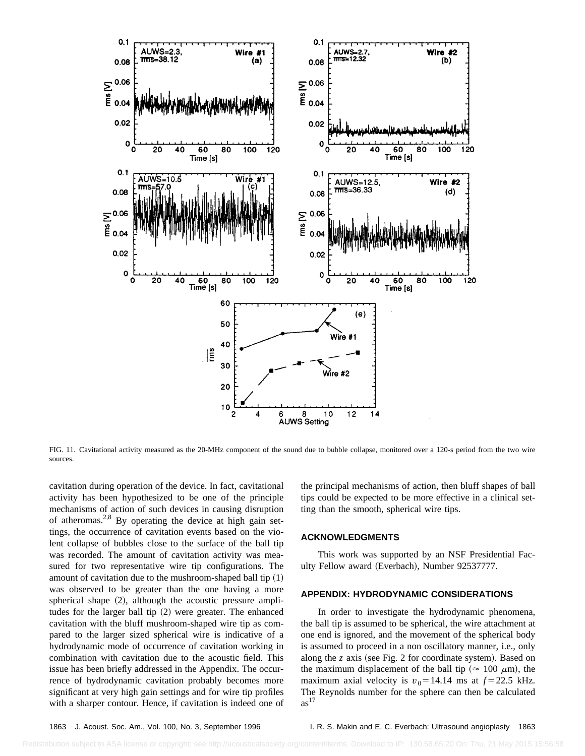

FIG. 11. Cavitational activity measured as the 20-MHz component of the sound due to bubble collapse, monitored over a 120-s period from the two wire sources.

cavitation during operation of the device. In fact, cavitational activity has been hypothesized to be one of the principle mechanisms of action of such devices in causing disruption of atheromas.<sup>2,8</sup> By operating the device at high gain settings, the occurrence of cavitation events based on the violent collapse of bubbles close to the surface of the ball tip was recorded. The amount of cavitation activity was measured for two representative wire tip configurations. The amount of cavitation due to the mushroom-shaped ball tip  $(1)$ was observed to be greater than the one having a more spherical shape  $(2)$ , although the acoustic pressure amplitudes for the larger ball tip  $(2)$  were greater. The enhanced cavitation with the bluff mushroom-shaped wire tip as compared to the larger sized spherical wire is indicative of a hydrodynamic mode of occurrence of cavitation working in combination with cavitation due to the acoustic field. This issue has been briefly addressed in the Appendix. The occurrence of hydrodynamic cavitation probably becomes more significant at very high gain settings and for wire tip profiles with a sharper contour. Hence, if cavitation is indeed one of the principal mechanisms of action, then bluff shapes of ball tips could be expected to be more effective in a clinical setting than the smooth, spherical wire tips.

#### **ACKNOWLEDGMENTS**

This work was supported by an NSF Presidential Faculty Fellow award (Everbach), Number 92537777.

#### **APPENDIX: HYDRODYNAMIC CONSIDERATIONS**

In order to investigate the hydrodynamic phenomena, the ball tip is assumed to be spherical, the wire attachment at one end is ignored, and the movement of the spherical body is assumed to proceed in a non oscillatory manner, i.e., only along the  $\zeta$  axis (see Fig. 2 for coordinate system). Based on the maximum displacement of the ball tip ( $\approx 100 \mu m$ ), the maximum axial velocity is  $v_0$ =14.14 ms at  $f$ =22.5 kHz. The Reynolds number for the sphere can then be calculated  $as<sup>17</sup>$